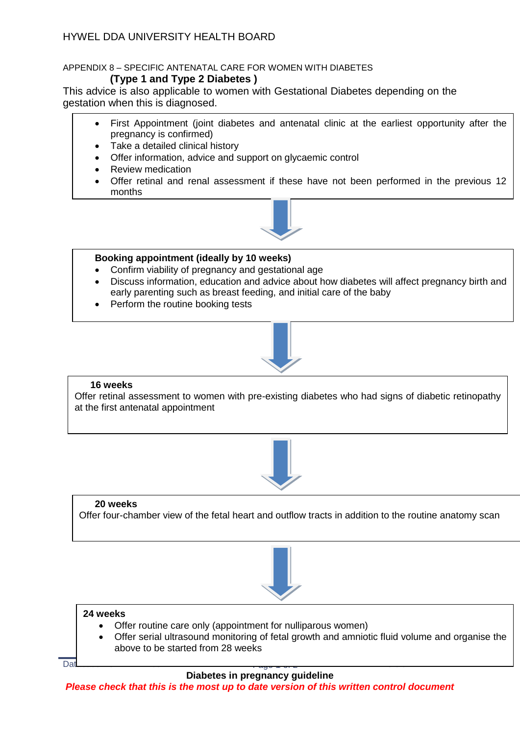# HYWEL DDA UNIVERSITY HEALTH BOARD

## APPENDIX 8 – SPECIFIC ANTENATAL CARE FOR WOMEN WITH DIABETES

## **(Type 1 and Type 2 Diabetes )**

This advice is also applicable to women with Gestational Diabetes depending on the gestation when this is diagnosed.

- First Appointment (joint diabetes and antenatal clinic at the earliest opportunity after the pregnancy is confirmed)
- Take a detailed clinical history
- Offer information, advice and support on glycaemic control
- Review medication
- Offer retinal and renal assessment if these have not been performed in the previous 12 months



### **Booking appointment (ideally by 10 weeks)**

- Confirm viability of pregnancy and gestational age
- Discuss information, education and advice about how diabetes will affect pregnancy birth and early parenting such as breast feeding, and initial care of the baby
- Perform the routine booking tests



### **16 weeks**

Offer retinal assessment to women with pre-existing diabetes who had signs of diabetic retinopathy at the first antenatal appointment



### **20 weeks**

Offer four-chamber view of the fetal heart and outflow tracts in addition to the routine anatomy scan



### **24 weeks**

- Offer routine care only (appointment for nulliparous women)
- Offer serial ultrasound monitoring of fetal growth and amniotic fluid volume and organise the above to be started from 28 weeks

Database No: 632 Page 1 of 2 Version 1

### **Diabetes in pregnancy guideline**

*Please check that this is the most up to date version of this written control document*